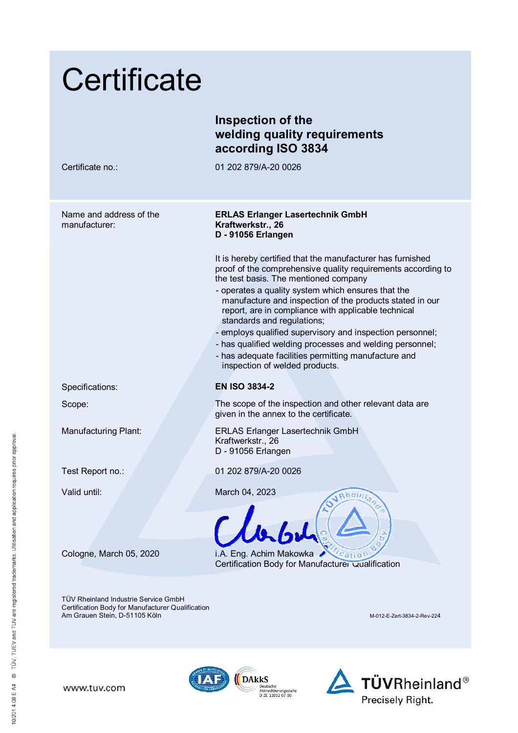| Certificate                                                                                                                       |                                                                                                                                                                                                                                                                                                                                                                                                                                                                                                                                                                                               |
|-----------------------------------------------------------------------------------------------------------------------------------|-----------------------------------------------------------------------------------------------------------------------------------------------------------------------------------------------------------------------------------------------------------------------------------------------------------------------------------------------------------------------------------------------------------------------------------------------------------------------------------------------------------------------------------------------------------------------------------------------|
|                                                                                                                                   | Inspection of the<br>welding quality requirements<br>according ISO 3834                                                                                                                                                                                                                                                                                                                                                                                                                                                                                                                       |
| Certificate no.:                                                                                                                  | 01 202 879/A-20 0026                                                                                                                                                                                                                                                                                                                                                                                                                                                                                                                                                                          |
| Name and address of the<br>manufacturer:                                                                                          | <b>ERLAS Erlanger Lasertechnik GmbH</b><br>Kraftwerkstr., 26<br>D - 91056 Erlangen                                                                                                                                                                                                                                                                                                                                                                                                                                                                                                            |
|                                                                                                                                   | It is hereby certified that the manufacturer has furnished<br>proof of the comprehensive quality requirements according to<br>the test basis. The mentioned company<br>- operates a quality system which ensures that the<br>manufacture and inspection of the products stated in our<br>report, are in compliance with applicable technical<br>standards and regulations;<br>- employs qualified supervisory and inspection personnel;<br>- has qualified welding processes and welding personnel;<br>- has adequate facilities permitting manufacture and<br>inspection of welded products. |
| Specifications:                                                                                                                   | <b>EN ISO 3834-2</b>                                                                                                                                                                                                                                                                                                                                                                                                                                                                                                                                                                          |
| Scope:                                                                                                                            | The scope of the inspection and other relevant data are<br>given in the annex to the certificate.                                                                                                                                                                                                                                                                                                                                                                                                                                                                                             |
| <b>Manufacturing Plant:</b>                                                                                                       | <b>ERLAS Erlanger Lasertechnik GmbH</b><br>Kraftwerkstr., 26<br>D - 91056 Erlangen                                                                                                                                                                                                                                                                                                                                                                                                                                                                                                            |
| Test Report no.:                                                                                                                  | 01 202 879/A-20 0026                                                                                                                                                                                                                                                                                                                                                                                                                                                                                                                                                                          |
| Valid until:                                                                                                                      | March 04, 2023<br>Rheinland<br>Clark                                                                                                                                                                                                                                                                                                                                                                                                                                                                                                                                                          |
| Cologne, March 05, 2020                                                                                                           | i.A. Eng. Achim Makowka<br>$\alpha$ <sub>c</sub> atio <sup>r</sup><br>Certification Body for Manufacturer Qualification                                                                                                                                                                                                                                                                                                                                                                                                                                                                       |
| <b>TÜV Rheinland Industrie Service GmbH</b><br>Certification Body for Manufacturer Qualification<br>Am Grauen Stein, D-51105 Köln | M-012-E-Zert-3834-2-Rev-224                                                                                                                                                                                                                                                                                                                                                                                                                                                                                                                                                                   |

10/201 4.08 E A4 ® TÜV, TUEV and TUV are registered trademarks. Utilisation and application requires prior approval.

www.tuv.com